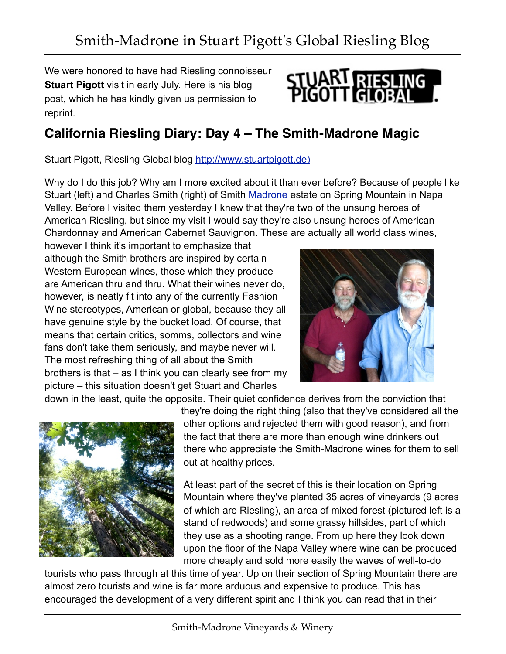We were honored to have had Riesling connoisseur **Stuart Pigott** visit in early July. Here is his blog post, which he has kindly given us permission to reprint.



## **California Riesling Diary: Day 4 – The Smith-Madrone Magic**

Stuart Pigott, Riesling Global blog [http://www.stuartpigott.de\)](http://www.stuartpigott.de/?p=5267)

Why do I do this job? Why am I more excited about it than ever before? Because of people like Stuart (left) and Charles Smith (right) of Smith [Madrone](http://www.jreddigital.com) estate on Spring Mountain in Napa Valley. Before I visited them yesterday I knew that they're two of the unsung heroes of American Riesling, but since my visit I would say they're also unsung heroes of American Chardonnay and American Cabernet Sauvignon. These are actually all world class wines,

however I think it's important to emphasize that although the Smith brothers are inspired by certain Western European wines, those which they produce are American thru and thru. What their wines never do, however, is neatly fit into any of the currently Fashion Wine stereotypes, American or global, because they all have genuine style by the bucket load. Of course, that means that certain critics, somms, collectors and wine fans don't take them seriously, and maybe never will. The most refreshing thing of all about the Smith brothers is that – as I think you can clearly see from my picture – this situation doesn't get Stuart and Charles



down in the least, quite the opposite. Their quiet confidence derives from the conviction that



they're doing the right thing (also that they've considered all the other options and rejected them with good reason), and from the fact that there are more than enough wine drinkers out there who appreciate the Smith-Madrone wines for them to sell out at healthy prices.

At least part of the secret of this is their location on Spring Mountain where they've planted 35 acres of vineyards (9 acres of which are Riesling), an area of mixed forest (pictured left is a stand of redwoods) and some grassy hillsides, part of which they use as a shooting range. From up here they look down upon the floor of the Napa Valley where wine can be produced more cheaply and sold more easily the waves of well-to-do

tourists who pass through at this time of year. Up on their section of Spring Mountain there are almost zero tourists and wine is far more arduous and expensive to produce. This has encouraged the development of a very different spirit and I think you can read that in their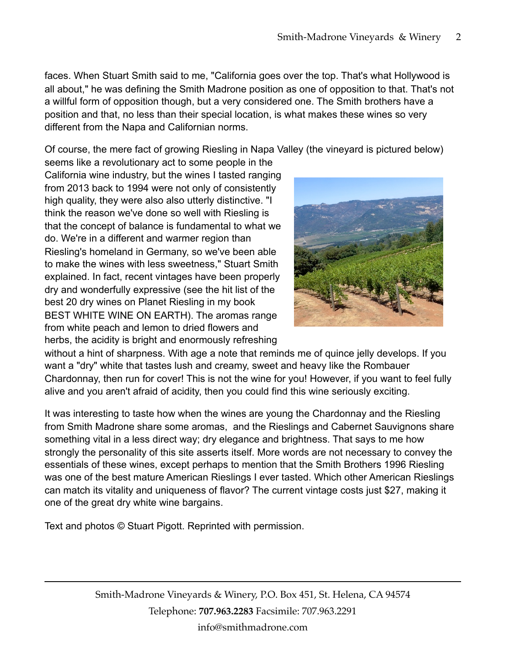faces. When Stuart Smith said to me, "California goes over the top. That's what Hollywood is all about," he was defining the Smith Madrone position as one of opposition to that. That's not a willful form of opposition though, but a very considered one. The Smith brothers have a position and that, no less than their special location, is what makes these wines so very different from the Napa and Californian norms.

Of course, the mere fact of growing Riesling in Napa Valley (the vineyard is pictured below)

seems like a revolutionary act to some people in the California wine industry, but the wines I tasted ranging from 2013 back to 1994 were not only of consistently high quality, they were also also utterly distinctive. "I think the reason we've done so well with Riesling is that the concept of balance is fundamental to what we do. We're in a different and warmer region than Riesling's homeland in Germany, so we've been able to make the wines with less sweetness," Stuart Smith explained. In fact, recent vintages have been properly dry and wonderfully expressive (see the hit list of the best 20 dry wines on Planet Riesling in my book BEST WHITE WINE ON EARTH). The aromas range from white peach and lemon to dried flowers and herbs, the acidity is bright and enormously refreshing



without a hint of sharpness. With age a note that reminds me of quince jelly develops. If you want a "dry" white that tastes lush and creamy, sweet and heavy like the Rombauer Chardonnay, then run for cover! This is not the wine for you! However, if you want to feel fully alive and you aren't afraid of acidity, then you could find this wine seriously exciting.

It was interesting to taste how when the wines are young the Chardonnay and the Riesling from Smith Madrone share some aromas, and the Rieslings and Cabernet Sauvignons share something vital in a less direct way; dry elegance and brightness. That says to me how strongly the personality of this site asserts itself. More words are not necessary to convey the essentials of these wines, except perhaps to mention that the Smith Brothers 1996 Riesling was one of the best mature American Rieslings I ever tasted. Which other American Rieslings can match its vitality and uniqueness of flavor? The current vintage costs just \$27, making it one of the great dry white wine bargains.

Text and photos © Stuart Pigott. Reprinted with permission.